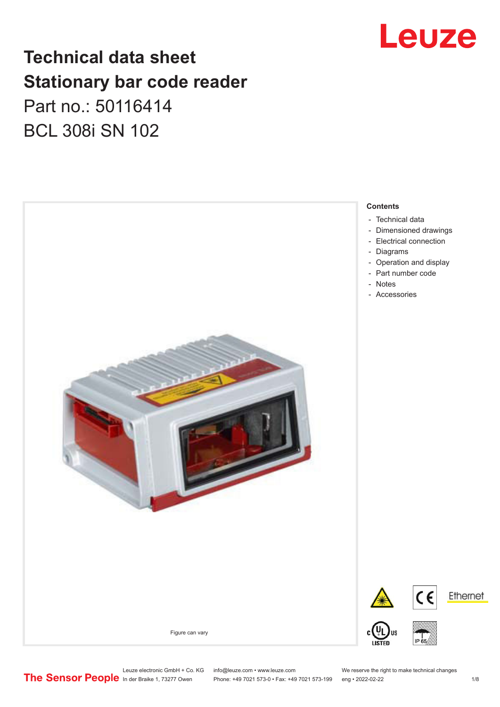

## **Technical data sheet Stationary bar code reader** Part no.: 50116414

BCL 308i SN 102



Leuze electronic GmbH + Co. KG info@leuze.com • www.leuze.com We reserve the right to make technical changes<br>
The Sensor People in der Braike 1, 73277 Owen Phone: +49 7021 573-0 • Fax: +49 7021 573-199 eng • 2022-02-22

Phone: +49 7021 573-0 • Fax: +49 7021 573-199 eng • 2022-02-22 1 /8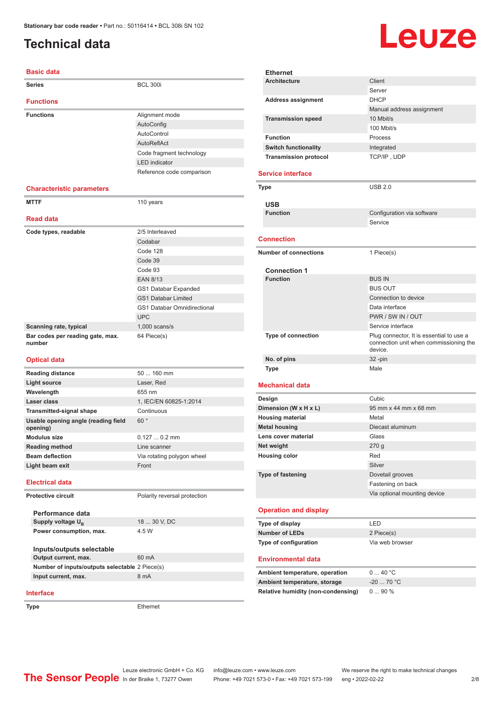### <span id="page-1-0"></span>**Technical data**

# Leuze

| <b>Basic data</b>                               |                                    |
|-------------------------------------------------|------------------------------------|
| Series                                          | <b>BCL 300i</b>                    |
| <b>Functions</b>                                |                                    |
| <b>Functions</b>                                | Alignment mode                     |
|                                                 | AutoConfig                         |
|                                                 | AutoControl                        |
|                                                 | AutoReflAct                        |
|                                                 | Code fragment technology           |
|                                                 | <b>LED</b> indicator               |
|                                                 | Reference code comparison          |
| <b>Characteristic parameters</b>                |                                    |
| <b>MTTF</b>                                     | 110 years                          |
| <b>Read data</b>                                |                                    |
| Code types, readable                            | 2/5 Interleaved                    |
|                                                 | Codabar                            |
|                                                 | Code 128                           |
|                                                 | Code 39                            |
|                                                 | Code 93                            |
|                                                 | <b>EAN 8/13</b>                    |
|                                                 | GS1 Databar Expanded               |
|                                                 | <b>GS1 Databar Limited</b>         |
|                                                 | <b>GS1 Databar Omnidirectional</b> |
|                                                 | <b>UPC</b>                         |
| Scanning rate, typical                          | $1,000$ scans/s                    |
| Bar codes per reading gate, max.<br>number      | 64 Piece(s)                        |
| <b>Optical data</b>                             |                                    |
| <b>Reading distance</b>                         | 50  160 mm                         |
| <b>Light source</b>                             | Laser, Red                         |
| Wavelength                                      | 655 nm                             |
| Laser class                                     | 1, IEC/EN 60825-1:2014             |
| <b>Transmitted-signal shape</b>                 | Continuous                         |
| Usable opening angle (reading field<br>opening) | 60°                                |
| <b>Modulus size</b>                             | $0.1270.2$ mm                      |
| <b>Reading method</b>                           | Line scanner                       |
| <b>Beam deflection</b>                          | Via rotating polygon wheel         |
| Light beam exit                                 | Front                              |
| <b>Electrical data</b>                          |                                    |
| <b>Protective circuit</b>                       | Polarity reversal protection       |
| Performance data                                |                                    |
| Supply voltage U <sub>R</sub>                   | 18  30 V, DC                       |
| Power consumption, max.                         | 4.5 W                              |

| 2014           | Design                         | Cubic                        |
|----------------|--------------------------------|------------------------------|
|                | Dimension (W x H x L)          | 95 mm x 44 mm x 68 mm        |
|                | <b>Housing material</b>        | Metal                        |
|                | <b>Metal housing</b>           | Diecast aluminum             |
|                | Lens cover material            | Glass                        |
|                | Net weight                     | 270 <sub>g</sub>             |
| wheel          | <b>Housing color</b>           | Red                          |
|                |                                | Silver                       |
|                | Type of fastening              | Dovetail grooves             |
|                |                                | Fastening on back            |
| <b>tection</b> |                                | Via optional mounting device |
|                | <b>Operation and display</b>   |                              |
|                | Type of display                | LED                          |
|                | <b>Number of LEDs</b>          | 2 Piece(s)                   |
|                | Type of configuration          | Via web browser              |
|                | <b>Environmental data</b>      |                              |
|                | Ambient temperature, operation | 040 °C                       |
|                | Ambient temperature, storage   | $-20$ 70 °C                  |

**Relative humidity (non-condensing)** 0 ... 90 %

**Ethernet**

**Service interface**

**USB**

**Connection**

**Connection 1**

**Mechanical data**

**Architecture** Client

Address assignment **DHCP** 

**Transmission speed** 10 Mbit/s

**Function** Process **Switch functionality Integrated Transmission protocol** TCP/IP, UDP

**Type** USB 2.0

**Number of connections** 1 Piece(s)

**Function** BUS IN

**No. of pins** 32 -pin **Type** Male

Server

100 Mbit/s

Service

BUS OUT

**Type of connection** Plug connector, It is essential to use a

device.

Connection to device Data interface PWR / SW IN / OUT Service interface

connection unit when commissioning the

Manual address assignment

**Configuration** via software

| Performance data              |
|-------------------------------|
| Supply voltage U <sub>B</sub> |
| Power consumption, max.       |
| Inputs/outputs selectable     |

**Output current, max.** 60 mA **Number of inputs/outputs selectable** 2 Piece(s) **Input current, max.** 8 mA

#### **Interface**

**Type** Ethernet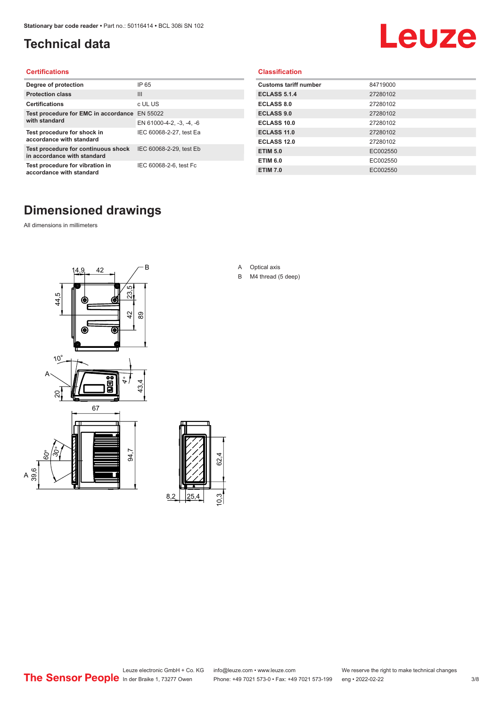### <span id="page-2-0"></span>**Technical data**

# Leuze

#### **Certifications**

| Degree of protection                                               | IP 65                    |
|--------------------------------------------------------------------|--------------------------|
| <b>Protection class</b>                                            | Ш                        |
| <b>Certifications</b>                                              | c UL US                  |
| Test procedure for EMC in accordance EN 55022                      |                          |
| with standard                                                      | EN 61000-4-2, -3, -4, -6 |
| Test procedure for shock in<br>accordance with standard            | IEC 60068-2-27, test Ea  |
| Test procedure for continuous shock<br>in accordance with standard | IEC 60068-2-29, test Eb  |
| Test procedure for vibration in<br>accordance with standard        | IEC 60068-2-6, test Fc   |

#### **Classification**

| <b>Customs tariff number</b> | 84719000 |
|------------------------------|----------|
| <b>ECLASS 5.1.4</b>          | 27280102 |
| <b>ECLASS 8.0</b>            | 27280102 |
| <b>ECLASS 9.0</b>            | 27280102 |
| ECLASS 10.0                  | 27280102 |
| <b>ECLASS 11.0</b>           | 27280102 |
| ECLASS 12.0                  | 27280102 |
| <b>ETIM 5.0</b>              | EC002550 |
| <b>ETIM 6.0</b>              | EC002550 |
| <b>ETIM 7.0</b>              | EC002550 |

#### **Dimensioned drawings**

All dimensions in millimeters

 $\overline{A}$ 





- A Optical axis
- B M4 thread (5 deep)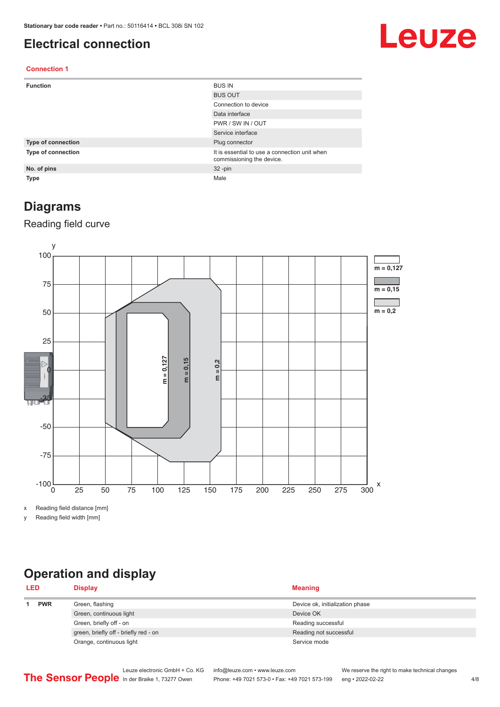#### <span id="page-3-0"></span>**Electrical connection**

## Leuze

#### **Connection 1**

| <b>Function</b>    | <b>BUS IN</b>                                                              |
|--------------------|----------------------------------------------------------------------------|
|                    | <b>BUS OUT</b>                                                             |
|                    | Connection to device                                                       |
|                    | Data interface                                                             |
|                    | PWR / SW IN / OUT                                                          |
|                    | Service interface                                                          |
| Type of connection | Plug connector                                                             |
| Type of connection | It is essential to use a connection unit when<br>commissioning the device. |
| No. of pins        | $32 - pin$                                                                 |
| Type               | Male                                                                       |

#### **Diagrams**

#### Reading field curve



x Reading field distance [mm]

y Reading field width [mm]

### **Operation and display**

| <b>LED</b> |            | <b>Display</b>                        | <b>Meaning</b>                  |
|------------|------------|---------------------------------------|---------------------------------|
|            | <b>PWR</b> | Green, flashing                       | Device ok, initialization phase |
|            |            | Green, continuous light               | Device OK                       |
|            |            | Green, briefly off - on               | Reading successful              |
|            |            | green, briefly off - briefly red - on | Reading not successful          |
|            |            | Orange, continuous light              | Service mode                    |
|            |            |                                       |                                 |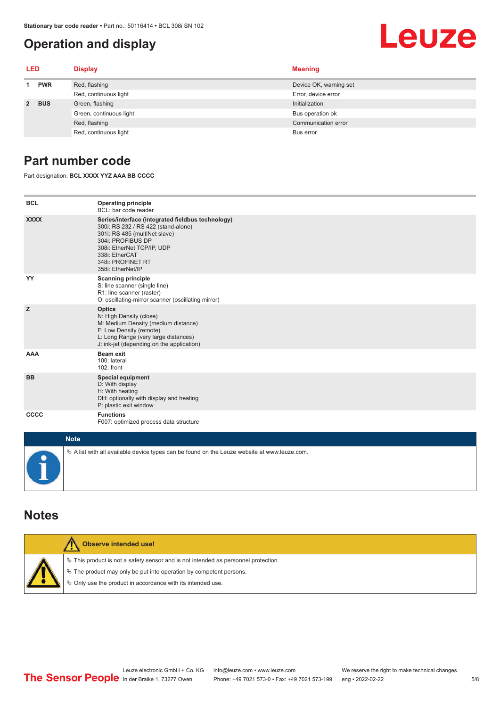#### <span id="page-4-0"></span>**Operation and display**

## Leuze

| LED         |            | <b>Display</b>          | <b>Meaning</b>         |
|-------------|------------|-------------------------|------------------------|
|             | <b>PWR</b> | Red, flashing           | Device OK, warning set |
|             |            | Red, continuous light   | Error, device error    |
| $2^{\circ}$ | <b>BUS</b> | Green, flashing         | Initialization         |
|             |            | Green, continuous light | Bus operation ok       |
|             |            | Red, flashing           | Communication error    |
|             |            | Red, continuous light   | Bus error              |

#### **Part number code**

Part designation: **BCL XXXX YYZ AAA BB CCCC**

| <b>BCL</b>         | <b>Operating principle</b><br>BCL: bar code reader                                                                                                                                                                                       |
|--------------------|------------------------------------------------------------------------------------------------------------------------------------------------------------------------------------------------------------------------------------------|
| <b>XXXX</b>        | Series/interface (integrated fieldbus technology)<br>300i: RS 232 / RS 422 (stand-alone)<br>301i: RS 485 (multiNet slave)<br>304i: PROFIBUS DP<br>308i: EtherNet TCP/IP, UDP<br>338i: EtherCAT<br>348i: PROFINET RT<br>358i: EtherNet/IP |
| YY                 | <b>Scanning principle</b><br>S: line scanner (single line)<br>R1: line scanner (raster)<br>O: oscillating-mirror scanner (oscillating mirror)                                                                                            |
| z                  | <b>Optics</b><br>N: High Density (close)<br>M: Medium Density (medium distance)<br>F: Low Density (remote)<br>L: Long Range (very large distances)<br>J: ink-jet (depending on the application)                                          |
| <b>AAA</b>         | <b>Beam exit</b><br>100: lateral<br>102: front                                                                                                                                                                                           |
| <b>BB</b>          | <b>Special equipment</b><br>D: With display<br>H: With heating<br>DH: optionally with display and heating<br>P: plastic exit window                                                                                                      |
| CCCC               | <b>Functions</b><br>F007: optimized process data structure                                                                                                                                                                               |
| <b>Sales State</b> |                                                                                                                                                                                                                                          |

| <b>Note</b>                                                                                       |
|---------------------------------------------------------------------------------------------------|
| Vector A list with all available device types can be found on the Leuze website at www.leuze.com. |

#### **Notes**

| Observe intended use!                                                                                                                                                                                                      |
|----------------------------------------------------------------------------------------------------------------------------------------------------------------------------------------------------------------------------|
| $\%$ This product is not a safety sensor and is not intended as personnel protection.<br>₹ The product may only be put into operation by competent persons.<br>♦ Only use the product in accordance with its intended use. |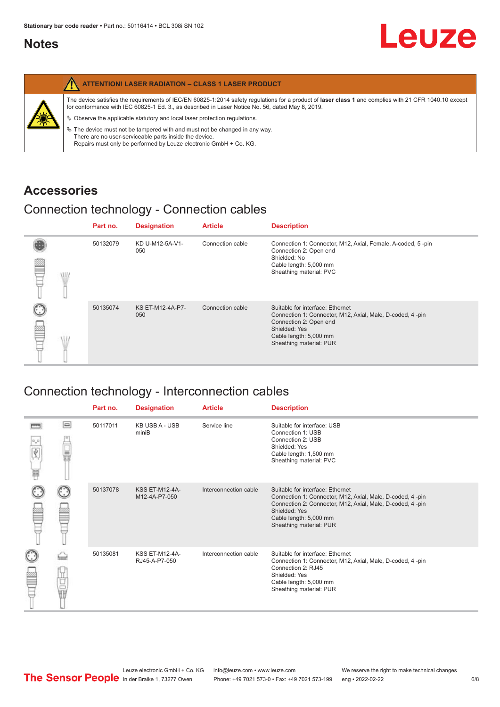#### <span id="page-5-0"></span>**Notes**

| <b>ATTENTION! LASER RADIATION - CLASS 1 LASER PRODUCT</b>                                                                                                                                                                                                                                                                                                                                                                                                                                                                                                   |
|-------------------------------------------------------------------------------------------------------------------------------------------------------------------------------------------------------------------------------------------------------------------------------------------------------------------------------------------------------------------------------------------------------------------------------------------------------------------------------------------------------------------------------------------------------------|
| The device satisfies the requirements of IEC/EN 60825-1:2014 safety requlations for a product of laser class 1 and complies with 21 CFR 1040.10 except<br>for conformance with IEC 60825-1 Ed. 3., as described in Laser Notice No. 56, dated May 8, 2019.<br>$\%$ Observe the applicable statutory and local laser protection regulations.<br>$\%$ The device must not be tampered with and must not be changed in any way.<br>There are no user-serviceable parts inside the device.<br>Repairs must only be performed by Leuze electronic GmbH + Co. KG. |

#### **Accessories**

#### Connection technology - Connection cables

|      | Part no. | <b>Designation</b>      | <b>Article</b>   | <b>Description</b>                                                                                                                                                                            |
|------|----------|-------------------------|------------------|-----------------------------------------------------------------------------------------------------------------------------------------------------------------------------------------------|
| \ll. | 50132079 | KD U-M12-5A-V1-<br>050  | Connection cable | Connection 1: Connector, M12, Axial, Female, A-coded, 5-pin<br>Connection 2: Open end<br>Shielded: No<br>Cable length: 5,000 mm<br>Sheathing material: PVC                                    |
|      | 50135074 | KS ET-M12-4A-P7-<br>050 | Connection cable | Suitable for interface: Ethernet<br>Connection 1: Connector, M12, Axial, Male, D-coded, 4-pin<br>Connection 2: Open end<br>Shielded: Yes<br>Cable length: 5,000 mm<br>Sheathing material: PUR |

#### Connection technology - Interconnection cables

|                           |                                                                                                                                                                                                                                | Part no. | <b>Designation</b>                     | <b>Article</b>        | <b>Description</b>                                                                                                                                                                                                               |
|---------------------------|--------------------------------------------------------------------------------------------------------------------------------------------------------------------------------------------------------------------------------|----------|----------------------------------------|-----------------------|----------------------------------------------------------------------------------------------------------------------------------------------------------------------------------------------------------------------------------|
| $\frac{1}{\sqrt{2}}$<br>Ħ | $\Box$                                                                                                                                                                                                                         | 50117011 | <b>KB USB A - USB</b><br>miniB         | Service line          | Suitable for interface: USB<br>Connection 1: USB<br>Connection 2: USB<br>Shielded: Yes<br>Cable length: 1,500 mm<br>Sheathing material: PVC                                                                                      |
|                           |                                                                                                                                                                                                                                | 50137078 | <b>KSS ET-M12-4A-</b><br>M12-4A-P7-050 | Interconnection cable | Suitable for interface: Ethernet<br>Connection 1: Connector, M12, Axial, Male, D-coded, 4-pin<br>Connection 2: Connector, M12, Axial, Male, D-coded, 4-pin<br>Shielded: Yes<br>Cable length: 5,000 mm<br>Sheathing material: PUR |
|                           | the filled the control in the control in the control in the control in the control in the control in the control in the control in the control in the control in the control in the control in the control in the control in t | 50135081 | <b>KSS ET-M12-4A-</b><br>RJ45-A-P7-050 | Interconnection cable | Suitable for interface: Ethernet<br>Connection 1: Connector, M12, Axial, Male, D-coded, 4-pin<br>Connection 2: RJ45<br>Shielded: Yes<br>Cable length: 5,000 mm<br>Sheathing material: PUR                                        |

Leuze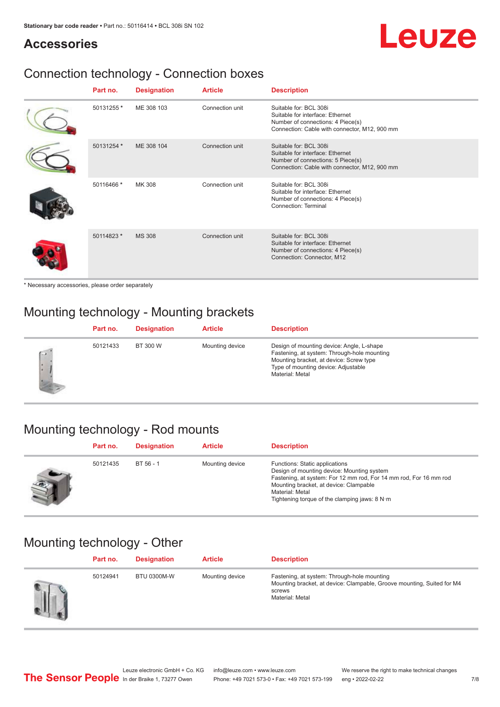**Accessories**

# Leuze

### Connection technology - Connection boxes

| Part no.   | <b>Designation</b> | <b>Article</b>  | <b>Description</b>                                                                                                                               |
|------------|--------------------|-----------------|--------------------------------------------------------------------------------------------------------------------------------------------------|
| 50131255 * | ME 308 103         | Connection unit | Suitable for: BCL 308i<br>Suitable for interface: Ethernet<br>Number of connections: 4 Piece(s)<br>Connection: Cable with connector, M12, 900 mm |
| 50131254 * | ME 308 104         | Connection unit | Suitable for: BCL 308i<br>Suitable for interface: Ethernet<br>Number of connections: 5 Piece(s)<br>Connection: Cable with connector, M12, 900 mm |
| 50116466 * | MK 308             | Connection unit | Suitable for: BCL 308i<br>Suitable for interface: Ethernet<br>Number of connections: 4 Piece(s)<br>Connection: Terminal                          |
| 50114823 * | <b>MS 308</b>      | Connection unit | Suitable for: BCL 308i<br>Suitable for interface: Ethernet<br>Number of connections: 4 Piece(s)<br>Connection: Connector, M12                    |

\* Necessary accessories, please order separately

### Mounting technology - Mounting brackets

|        | Part no. | <b>Designation</b> | <b>Article</b>  | <b>Description</b>                                                                                                                                                                            |
|--------|----------|--------------------|-----------------|-----------------------------------------------------------------------------------------------------------------------------------------------------------------------------------------------|
| $\sim$ | 50121433 | BT 300 W           | Mounting device | Design of mounting device: Angle, L-shape<br>Fastening, at system: Through-hole mounting<br>Mounting bracket, at device: Screw type<br>Type of mounting device: Adjustable<br>Material: Metal |

#### Mounting technology - Rod mounts

| Part no. | <b>Designation</b> | <b>Article</b>  | <b>Description</b>                                                                                                                                                                                                                                                |
|----------|--------------------|-----------------|-------------------------------------------------------------------------------------------------------------------------------------------------------------------------------------------------------------------------------------------------------------------|
| 50121435 | $BT 56 - 1$        | Mounting device | Functions: Static applications<br>Design of mounting device: Mounting system<br>Fastening, at system: For 12 mm rod, For 14 mm rod, For 16 mm rod<br>Mounting bracket, at device: Clampable<br>Material: Metal<br>Tightening torque of the clamping jaws: $8 N·m$ |

#### Mounting technology - Other

| Part no. | <b>Designation</b> | <b>Article</b>  | <b>Description</b>                                                                                                                                 |
|----------|--------------------|-----------------|----------------------------------------------------------------------------------------------------------------------------------------------------|
| 50124941 | <b>BTU 0300M-W</b> | Mounting device | Fastening, at system: Through-hole mounting<br>Mounting bracket, at device: Clampable, Groove mounting, Suited for M4<br>screws<br>Material: Metal |